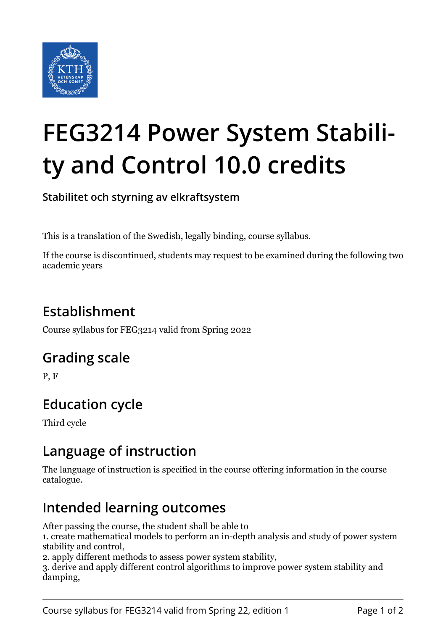

# **FEG3214 Power System Stability and Control 10.0 credits**

**Stabilitet och styrning av elkraftsystem**

This is a translation of the Swedish, legally binding, course syllabus.

If the course is discontinued, students may request to be examined during the following two academic years

## **Establishment**

Course syllabus for FEG3214 valid from Spring 2022

## **Grading scale**

P, F

# **Education cycle**

Third cycle

## **Language of instruction**

The language of instruction is specified in the course offering information in the course catalogue.

## **Intended learning outcomes**

After passing the course, the student shall be able to

1. create mathematical models to perform an in-depth analysis and study of power system stability and control,

2. apply different methods to assess power system stability,

3. derive and apply different control algorithms to improve power system stability and damping,